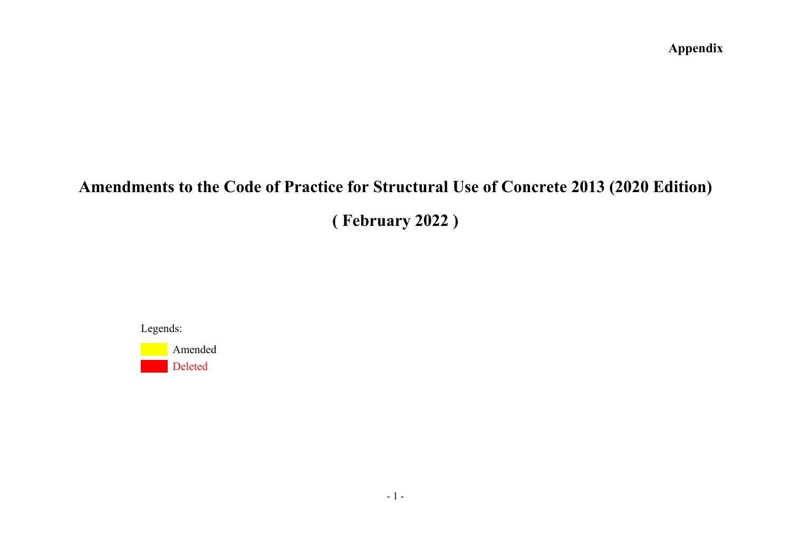# **Amendments to the Code of Practice for Structural Use of Concrete 2013 (2020 Edition)**

**( February 2022 )** 

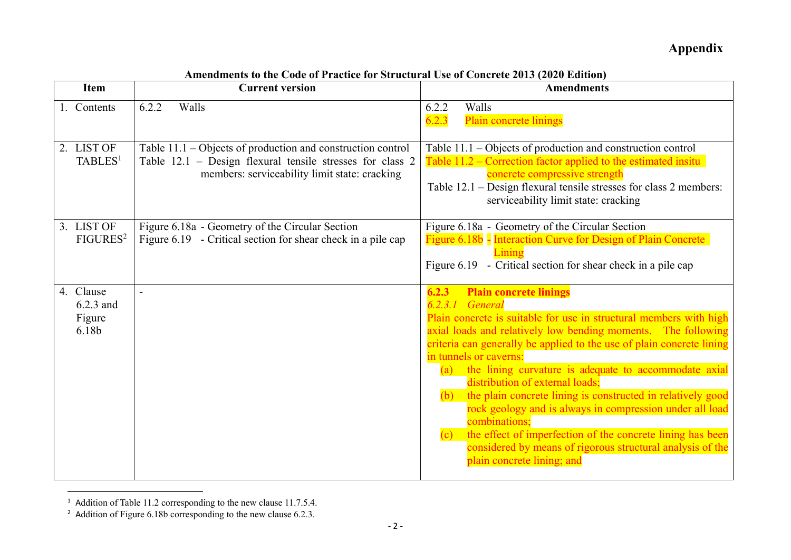| <b>Item</b>                               | <b>Current version</b>                                                                                                                                                      | <b>Amendments</b>                                                                                                                                                                                                                                                                                                                                                                                                                                                                                                                                                                                                                                                                                                          |
|-------------------------------------------|-----------------------------------------------------------------------------------------------------------------------------------------------------------------------------|----------------------------------------------------------------------------------------------------------------------------------------------------------------------------------------------------------------------------------------------------------------------------------------------------------------------------------------------------------------------------------------------------------------------------------------------------------------------------------------------------------------------------------------------------------------------------------------------------------------------------------------------------------------------------------------------------------------------------|
| 1. Contents                               | 6.2.2<br>Walls                                                                                                                                                              | Walls<br>6.2.2<br>6.2.3<br>Plain concrete linings                                                                                                                                                                                                                                                                                                                                                                                                                                                                                                                                                                                                                                                                          |
| 2. LIST OF<br>TABLES <sup>1</sup>         | Table $11.1$ – Objects of production and construction control<br>Table 12.1 - Design flexural tensile stresses for class 2<br>members: serviceability limit state: cracking | Table $11.1 - Objects$ of production and construction control<br>Table 11.2 – Correction factor applied to the estimated insitu<br>concrete compressive strength<br>Table 12.1 – Design flexural tensile stresses for class 2 members:<br>serviceability limit state: cracking                                                                                                                                                                                                                                                                                                                                                                                                                                             |
| 3. LIST OF<br>FIGURES <sup>2</sup>        | Figure 6.18a - Geometry of the Circular Section<br>Figure 6.19 - Critical section for shear check in a pile cap                                                             | Figure 6.18a - Geometry of the Circular Section<br>Figure 6.18b - Interaction Curve for Design of Plain Concrete<br>Lining<br>Figure 6.19 - Critical section for shear check in a pile cap                                                                                                                                                                                                                                                                                                                                                                                                                                                                                                                                 |
| 4. Clause<br>6.2.3 and<br>Figure<br>6.18b | $\blacksquare$                                                                                                                                                              | <b>Plain concrete linings</b><br>6.2.3<br>General<br>6.2.3.1<br>Plain concrete is suitable for use in structural members with high<br>axial loads and relatively low bending moments. The following<br>criteria can generally be applied to the use of plain concrete lining<br>in tunnels or caverns:<br>(a) the lining curvature is adequate to accommodate axial<br>distribution of external loads;<br>the plain concrete lining is constructed in relatively good<br>(b)<br>rock geology and is always in compression under all load<br>combinations;<br>the effect of imperfection of the concrete lining has been<br>(c)<br>considered by means of rigorous structural analysis of the<br>plain concrete lining; and |

**Amendments to the Code of Practice for Structural Use of Concrete 2013 (2020 Edition)** 

<sup>&</sup>lt;sup>1</sup> Addition of Table 11.2 corresponding to the new clause 11.7.5.4.<br><sup>2</sup> Addition of Figure 6.18b corresponding to the new clause 6.2.3.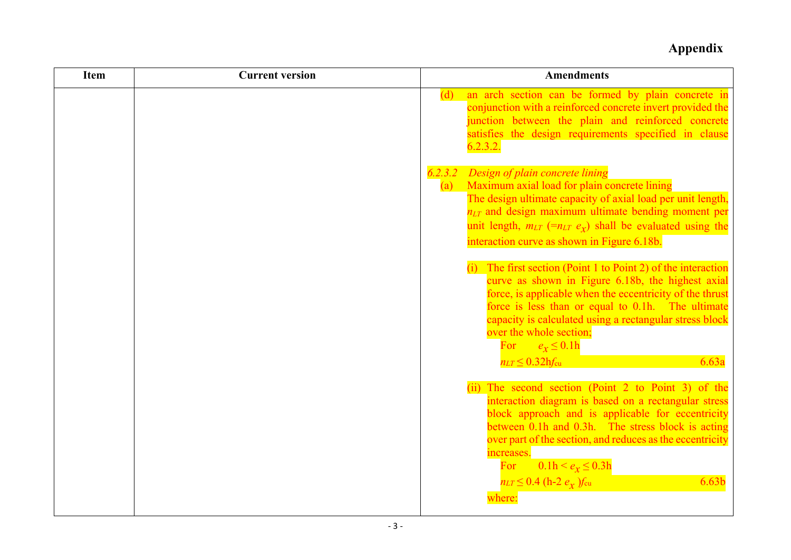| <b>Item</b> | <b>Current version</b> | <b>Amendments</b>                                                                                                                                                                                                                                                                                                                                                                                                          |
|-------------|------------------------|----------------------------------------------------------------------------------------------------------------------------------------------------------------------------------------------------------------------------------------------------------------------------------------------------------------------------------------------------------------------------------------------------------------------------|
|             |                        | (d) an arch section can be formed by plain concrete in<br>conjunction with a reinforced concrete invert provided the<br>junction between the plain and reinforced concrete<br>satisfies the design requirements specified in clause<br>6.2.3.2.                                                                                                                                                                            |
|             |                        | 6.2.3.2 Design of plain concrete lining<br>(a) Maximum axial load for plain concrete lining<br>The design ultimate capacity of axial load per unit length,<br>$n_{LT}$ and design maximum ultimate bending moment per<br>unit length, $m_{LT}$ (= $n_{LT}$ e <sub>x</sub> ) shall be evaluated using the<br>interaction curve as shown in Figure 6.18b.<br>$(i)$ The first section (Point 1 to Point 2) of the interaction |
|             |                        | curve as shown in Figure 6.18b, the highest axial<br>force, is applicable when the eccentricity of the thrust<br>force is less than or equal to 0.1h. The ultimate<br>capacity is calculated using a rectangular stress block<br>over the whole section;<br>For $e_x \leq 0.1h$<br>$n_{LT} \leq 0.32$ hfcu<br>6.63a                                                                                                        |
|             |                        | (ii) The second section (Point 2 to Point 3) of the<br>interaction diagram is based on a rectangular stress<br>block approach and is applicable for eccentricity<br>between 0.1h and 0.3h. The stress block is acting<br>over part of the section, and reduces as the eccentricity<br>increases.<br>$0.1h < e_x \le 0.3h$<br>For<br>$n_{LT} \leq 0.4$ (h-2 $e_{\chi}$ ) $f_{\rm cu}$<br>6.63 <sub>b</sub><br>where:        |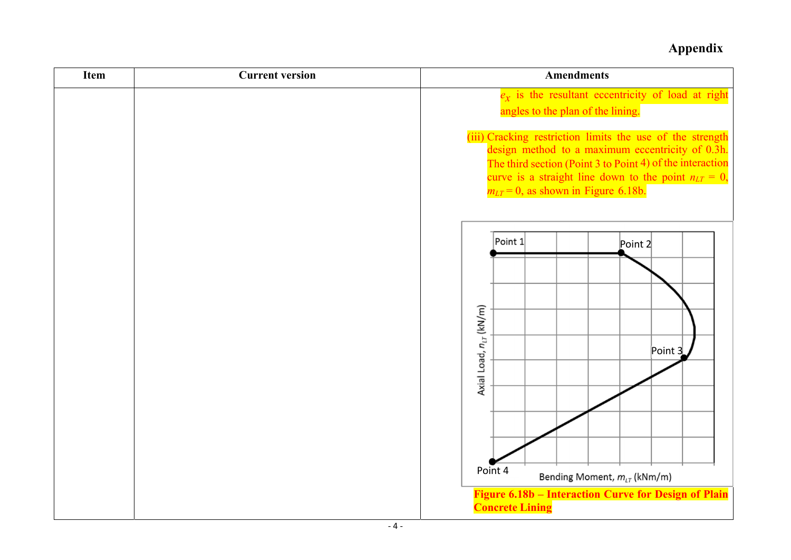| <b>Item</b> | <b>Current version</b> | <b>Amendments</b>                                                                                                                                                                                                                                                                   |
|-------------|------------------------|-------------------------------------------------------------------------------------------------------------------------------------------------------------------------------------------------------------------------------------------------------------------------------------|
|             |                        | $e_x$ is the resultant eccentricity of load at right<br>angles to the plan of the lining.                                                                                                                                                                                           |
|             |                        | (iii) Cracking restriction limits the use of the strength<br>design method to a maximum eccentricity of 0.3h.<br>The third section (Point 3 to Point 4) of the interaction<br>curve is a straight line down to the point $n_{LT} = 0$ ,<br>$m_{LT} = 0$ , as shown in Figure 6.18b. |
|             |                        | Point 1<br>Point 2<br>Axial Load, n <sub>LT</sub> (kN/m)<br>Point $3$<br>Point 4<br>Bending Moment, $m_{LT}$ (kNm/m)<br><b>Figure 6.18b – Interaction Curve for Design of Plain</b><br><b>Concrete Lining</b>                                                                       |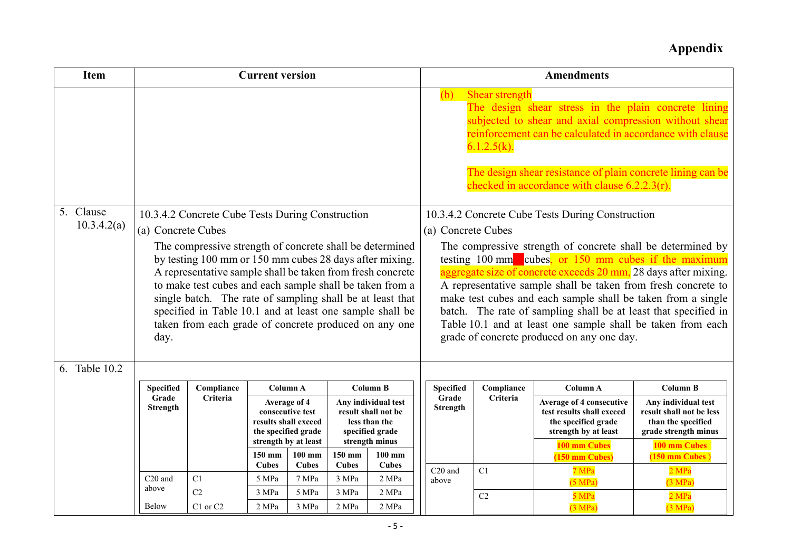| <b>Item</b>              | <b>Current version</b>                                       |                              |                                                                                                                                                                                                                                                                                                                                                                                                                                                                                     |                                                                                                                                                          |                                                                                                                                                                                             |                    |                                                                              |                                                                                                                                                                                                                                                                                                                                                                                                                                                                                                                                                             | <b>Amendments</b>                                                                                                                                                                                                                                                                              |                                                                                                                                                                         |
|--------------------------|--------------------------------------------------------------|------------------------------|-------------------------------------------------------------------------------------------------------------------------------------------------------------------------------------------------------------------------------------------------------------------------------------------------------------------------------------------------------------------------------------------------------------------------------------------------------------------------------------|----------------------------------------------------------------------------------------------------------------------------------------------------------|---------------------------------------------------------------------------------------------------------------------------------------------------------------------------------------------|--------------------|------------------------------------------------------------------------------|-------------------------------------------------------------------------------------------------------------------------------------------------------------------------------------------------------------------------------------------------------------------------------------------------------------------------------------------------------------------------------------------------------------------------------------------------------------------------------------------------------------------------------------------------------------|------------------------------------------------------------------------------------------------------------------------------------------------------------------------------------------------------------------------------------------------------------------------------------------------|-------------------------------------------------------------------------------------------------------------------------------------------------------------------------|
|                          |                                                              |                              |                                                                                                                                                                                                                                                                                                                                                                                                                                                                                     |                                                                                                                                                          |                                                                                                                                                                                             |                    |                                                                              | Shear strength<br>$6.1.2.5(k)$ .                                                                                                                                                                                                                                                                                                                                                                                                                                                                                                                            | The design shear stress in the plain concrete lining<br>subjected to shear and axial compression without shear<br>reinforcement can be calculated in accordance with clause<br>The design shear resistance of plain concrete lining can be<br>checked in accordance with clause $6.2.2.3(r)$ . |                                                                                                                                                                         |
| 5. Clause<br>10.3.4.2(a) | (a) Concrete Cubes<br>day.                                   |                              | 10.3.4.2 Concrete Cube Tests During Construction<br>The compressive strength of concrete shall be determined<br>by testing 100 mm or 150 mm cubes 28 days after mixing.<br>A representative sample shall be taken from fresh concrete<br>to make test cubes and each sample shall be taken from a<br>single batch. The rate of sampling shall be at least that<br>specified in Table 10.1 and at least one sample shall be<br>taken from each grade of concrete produced on any one |                                                                                                                                                          |                                                                                                                                                                                             | (a) Concrete Cubes |                                                                              | 10.3.4.2 Concrete Cube Tests During Construction<br>The compressive strength of concrete shall be determined by<br>testing 100 mm cubes, or 150 mm cubes if the maximum<br>aggregate size of concrete exceeds 20 mm, 28 days after mixing.<br>A representative sample shall be taken from fresh concrete to<br>make test cubes and each sample shall be taken from a single<br>batch. The rate of sampling shall be at least that specified in<br>Table 10.1 and at least one sample shall be taken from each<br>grade of concrete produced on any one day. |                                                                                                                                                                                                                                                                                                |                                                                                                                                                                         |
| 6. Table 10.2            | Specified<br>Grade<br><b>Strength</b><br>C <sub>20</sub> and | Compliance<br>Criteria<br>C1 | 150 mm<br><b>Cubes</b><br>5 MPa                                                                                                                                                                                                                                                                                                                                                                                                                                                     | Column A<br>Average of 4<br>consecutive test<br>results shall exceed<br>the specified grade<br>strength by at least<br>$100$ mm<br><b>Cubes</b><br>7 MPa | <b>Column B</b><br>Any individual test<br>result shall not be<br>less than the<br>specified grade<br>strength minus<br>150 mm<br>$100$ mm<br><b>Cubes</b><br><b>Cubes</b><br>3 MPa<br>2 MPa |                    | <b>Specified</b><br>Grade<br><b>Strength</b><br>C <sub>20</sub> and<br>above | Compliance<br>Criteria<br>C1                                                                                                                                                                                                                                                                                                                                                                                                                                                                                                                                | Column A<br><b>Average of 4 consecutive</b><br>test results shall exceed<br>the specified grade<br>strength by at least<br>100 mm Cubes<br>(150 mm Cubes)<br>7 MPa<br>(5 MPa)                                                                                                                  | <b>Column B</b><br>Any individual test<br>result shall not be less<br>than the specified<br>grade strength minus<br>100 mm Cubes<br>$(150$ mm Cubes<br>2 MPa<br>(3 MPa) |
|                          | above<br><b>Below</b>                                        | C <sub>2</sub><br>C1 or C2   | 3 MPa<br>2 MPa                                                                                                                                                                                                                                                                                                                                                                                                                                                                      | 5 MPa<br>3 MPa                                                                                                                                           | 3 MPa<br>2 MPa                                                                                                                                                                              | 2 MPa<br>2 MPa     |                                                                              | C2                                                                                                                                                                                                                                                                                                                                                                                                                                                                                                                                                          | 5 MPa<br>(3 MPa)                                                                                                                                                                                                                                                                               | 2 MPa<br>(3 MPa)                                                                                                                                                        |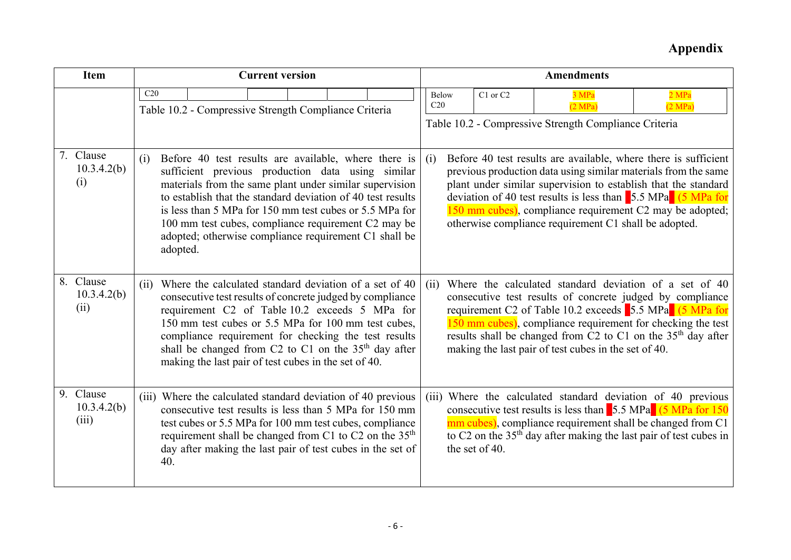| <b>Item</b>                       | <b>Current version</b>                                                                                                                                                                                                                                                                                                                                                                                                            |  |  |  |      |                                                                                                                                                                                                                                                                                                                                                                |                |                                                                                                                                                                                                                                                                                                                                                                                   |          | <b>Amendments</b>                                                         |                  |
|-----------------------------------|-----------------------------------------------------------------------------------------------------------------------------------------------------------------------------------------------------------------------------------------------------------------------------------------------------------------------------------------------------------------------------------------------------------------------------------|--|--|--|------|----------------------------------------------------------------------------------------------------------------------------------------------------------------------------------------------------------------------------------------------------------------------------------------------------------------------------------------------------------------|----------------|-----------------------------------------------------------------------------------------------------------------------------------------------------------------------------------------------------------------------------------------------------------------------------------------------------------------------------------------------------------------------------------|----------|---------------------------------------------------------------------------|------------------|
|                                   | C20<br>Table 10.2 - Compressive Strength Compliance Criteria                                                                                                                                                                                                                                                                                                                                                                      |  |  |  |      |                                                                                                                                                                                                                                                                                                                                                                |                | <b>Below</b><br>C20                                                                                                                                                                                                                                                                                                                                                               | C1 or C2 | 3 MPa<br>(2 MPa)<br>Table 10.2 - Compressive Strength Compliance Criteria | 2 MPa<br>(2 MPa) |
| 7. Clause<br>10.3.4.2(b)<br>(i)   | Before 40 test results are available, where there is<br>(i)<br>sufficient previous production data using similar<br>materials from the same plant under similar supervision<br>to establish that the standard deviation of 40 test results<br>is less than 5 MPa for 150 mm test cubes or 5.5 MPa for<br>100 mm test cubes, compliance requirement C2 may be<br>adopted; otherwise compliance requirement C1 shall be<br>adopted. |  |  |  |      | (i)<br>previous production data using similar materials from the same<br>plant under similar supervision to establish that the standard<br>deviation of 40 test results is less than $\frac{5.5 \text{ MPa}}{5.5 \text{ MPa}}$ (5 MPa for<br>150 mm cubes), compliance requirement C2 may be adopted;<br>otherwise compliance requirement C1 shall be adopted. |                |                                                                                                                                                                                                                                                                                                                                                                                   |          | Before 40 test results are available, where there is sufficient           |                  |
| 8. Clause<br>10.3.4.2(b)<br>(ii)  | Where the calculated standard deviation of a set of 40<br>(ii)<br>consecutive test results of concrete judged by compliance<br>requirement C2 of Table 10.2 exceeds 5 MPa for<br>150 mm test cubes or 5.5 MPa for 100 mm test cubes,<br>compliance requirement for checking the test results<br>shall be changed from C2 to C1 on the 35 <sup>th</sup> day after<br>making the last pair of test cubes in the set of 40.          |  |  |  | (ii) |                                                                                                                                                                                                                                                                                                                                                                |                | Where the calculated standard deviation of a set of 40<br>consecutive test results of concrete judged by compliance<br>requirement C2 of Table 10.2 exceeds 5.5 MPa (5 MPa for<br>150 mm cubes), compliance requirement for checking the test<br>results shall be changed from C2 to C1 on the 35 <sup>th</sup> day after<br>making the last pair of test cubes in the set of 40. |          |                                                                           |                  |
| 9. Clause<br>10.3.4.2(b)<br>(iii) | (iii) Where the calculated standard deviation of 40 previous<br>consecutive test results is less than 5 MPa for 150 mm<br>test cubes or 5.5 MPa for 100 mm test cubes, compliance<br>requirement shall be changed from C1 to C2 on the 35 <sup>th</sup><br>day after making the last pair of test cubes in the set of<br>40.                                                                                                      |  |  |  |      |                                                                                                                                                                                                                                                                                                                                                                | the set of 40. | (iii) Where the calculated standard deviation of 40 previous<br>consecutive test results is less than $\frac{5.5 \text{ MPa}}{6.5 \text{ MPa}}$ (5 MPa for 150)<br>mm cubes), compliance requirement shall be changed from C1<br>to C2 on the $35th$ day after making the last pair of test cubes in                                                                              |          |                                                                           |                  |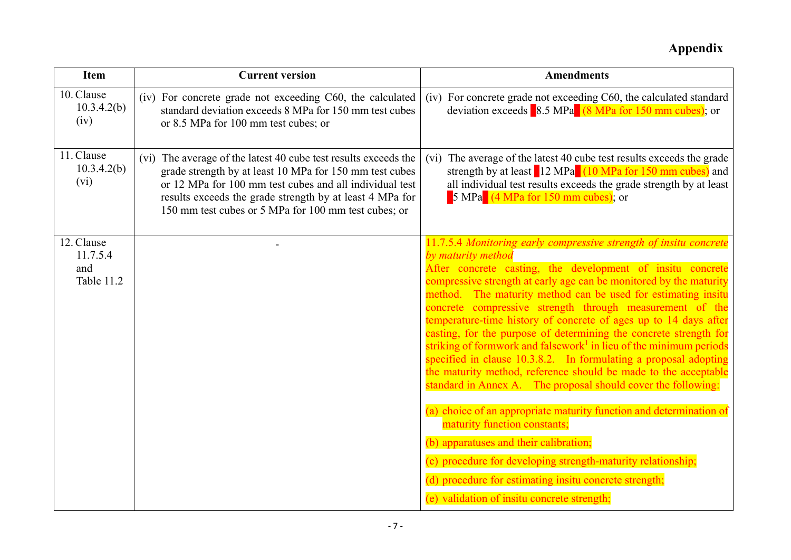| <b>Item</b>                                 | <b>Current version</b>                                                                                                                                                                                                                                                                                    | <b>Amendments</b>                                                                                                                                                                                                                                                                                                                                                                                                                                                                                                                                                                                                                                                                                                                                                                                                                                                                                                                                                                                                                                                      |
|---------------------------------------------|-----------------------------------------------------------------------------------------------------------------------------------------------------------------------------------------------------------------------------------------------------------------------------------------------------------|------------------------------------------------------------------------------------------------------------------------------------------------------------------------------------------------------------------------------------------------------------------------------------------------------------------------------------------------------------------------------------------------------------------------------------------------------------------------------------------------------------------------------------------------------------------------------------------------------------------------------------------------------------------------------------------------------------------------------------------------------------------------------------------------------------------------------------------------------------------------------------------------------------------------------------------------------------------------------------------------------------------------------------------------------------------------|
| 10. Clause<br>10.3.4.2(b)<br>(iv)           | (iv) For concrete grade not exceeding C60, the calculated<br>standard deviation exceeds 8 MPa for 150 mm test cubes<br>or 8.5 MPa for 100 mm test cubes; or                                                                                                                                               | (iv) For concrete grade not exceeding C60, the calculated standard<br>deviation exceeds $\frac{8.5 \text{ MPa}}{(8 \text{ MPa} \text{ for } 150 \text{ mm cubes})}$ ; or                                                                                                                                                                                                                                                                                                                                                                                                                                                                                                                                                                                                                                                                                                                                                                                                                                                                                               |
| 11. Clause<br>10.3.4.2(b)<br>(vi)           | (vi) The average of the latest 40 cube test results exceeds the<br>grade strength by at least 10 MPa for 150 mm test cubes<br>or 12 MPa for 100 mm test cubes and all individual test<br>results exceeds the grade strength by at least 4 MPa for<br>150 mm test cubes or 5 MPa for 100 mm test cubes; or | (vi) The average of the latest 40 cube test results exceeds the grade<br>strength by at least 12 MPa (10 MPa for 150 mm cubes) and<br>all individual test results exceeds the grade strength by at least<br>$\frac{1}{2}$ MPa $\frac{1}{4}$ MPa for 150 mm cubes); or                                                                                                                                                                                                                                                                                                                                                                                                                                                                                                                                                                                                                                                                                                                                                                                                  |
| 12. Clause<br>11.7.5.4<br>and<br>Table 11.2 |                                                                                                                                                                                                                                                                                                           | 11.7.5.4 Monitoring early compressive strength of insitu concrete<br>by maturity method<br>After concrete casting, the development of insitu concrete<br>compressive strength at early age can be monitored by the maturity<br>method. The maturity method can be used for estimating insitu<br>concrete compressive strength through measurement of the<br>temperature-time history of concrete of ages up to 14 days after<br>casting, for the purpose of determining the concrete strength for<br>striking of formwork and falsework <sup>1</sup> in lieu of the minimum periods<br>specified in clause 10.3.8.2. In formulating a proposal adopting<br>the maturity method, reference should be made to the acceptable<br>standard in Annex A. The proposal should cover the following:<br>(a) choice of an appropriate maturity function and determination of<br>maturity function constants;<br>(b) apparatuses and their calibration;<br>(c) procedure for developing strength-maturity relationship;<br>(d) procedure for estimating insitu concrete strength; |
|                                             |                                                                                                                                                                                                                                                                                                           | (e) validation of insitu concrete strength;                                                                                                                                                                                                                                                                                                                                                                                                                                                                                                                                                                                                                                                                                                                                                                                                                                                                                                                                                                                                                            |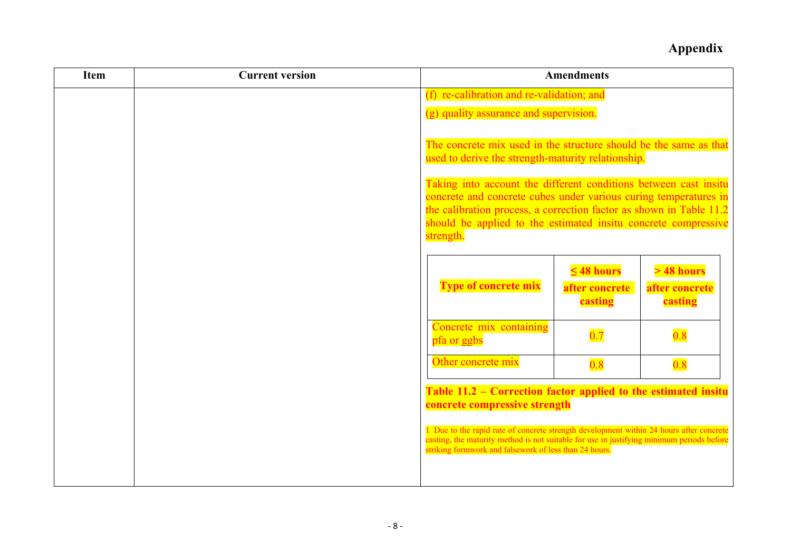| <b>Item</b> | <b>Current version</b> |                                                                                                                                                                                                                                                                                                                                                                                                                       | <b>Amendments</b>                            |                                          |  |  |
|-------------|------------------------|-----------------------------------------------------------------------------------------------------------------------------------------------------------------------------------------------------------------------------------------------------------------------------------------------------------------------------------------------------------------------------------------------------------------------|----------------------------------------------|------------------------------------------|--|--|
|             |                        | (f) re-calibration and re-validation; and                                                                                                                                                                                                                                                                                                                                                                             |                                              |                                          |  |  |
|             |                        | (g) quality assurance and supervision.                                                                                                                                                                                                                                                                                                                                                                                |                                              |                                          |  |  |
|             |                        | The concrete mix used in the structure should be the same as that<br>used to derive the strength-maturity relationship.<br>Taking into account the different conditions between cast insitu<br>concrete and concrete cubes under various curing temperatures in<br>the calibration process, a correction factor as shown in Table 11.2<br>should be applied to the estimated insitu concrete compressive<br>strength. |                                              |                                          |  |  |
|             |                        |                                                                                                                                                                                                                                                                                                                                                                                                                       |                                              |                                          |  |  |
|             |                        | <b>Type of concrete mix</b>                                                                                                                                                                                                                                                                                                                                                                                           | $\leq 48$ hours<br>after concrete<br>casting | $>48$ hours<br>after concrete<br>casting |  |  |
|             |                        | Concrete mix containing<br>pfa or ggbs                                                                                                                                                                                                                                                                                                                                                                                | 0.7                                          | 0.8                                      |  |  |
|             |                        | Other concrete mix                                                                                                                                                                                                                                                                                                                                                                                                    | 0.8                                          | 0.8                                      |  |  |
|             |                        | Table 11.2 – Correction factor applied to the estimated insitu<br>concrete compressive strength                                                                                                                                                                                                                                                                                                                       |                                              |                                          |  |  |
|             |                        | 1 Due to the rapid rate of concrete strength development within 24 hours after concrete<br>casting, the maturity method is not suitable for use in justifying minimum periods before<br>striking formwork and falsework of less than 24 hours.                                                                                                                                                                        |                                              |                                          |  |  |
|             |                        |                                                                                                                                                                                                                                                                                                                                                                                                                       |                                              |                                          |  |  |